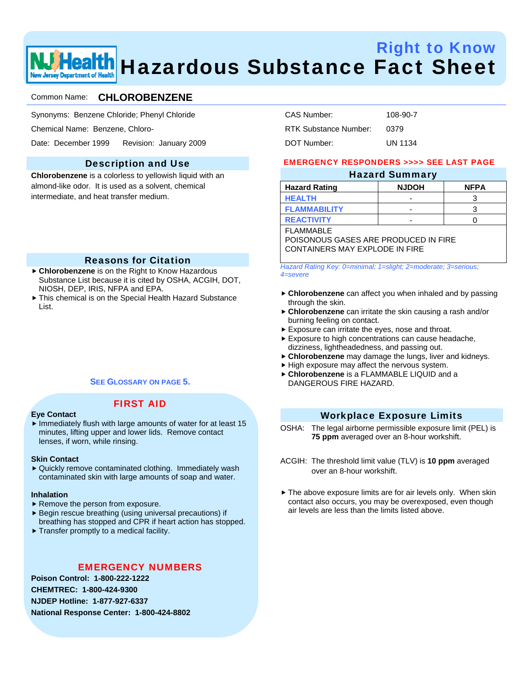# Right to Know Health Hazardous Substance Fact Sheet **New Jersey Department of Health**

# Common Name: **CHLOROBENZENE**

Synonyms: Benzene Chloride; Phenyl Chloride

Chemical Name: Benzene, Chloro-

Date: December 1999 Revision: January 2009

### Description and Use

**Chlorobenzene** is a colorless to yellowish liquid with an almond-like odor. It is used as a solvent, chemical intermediate, and heat transfer medium.

## Reasons for Citation

- **Chlorobenzene** is on the Right to Know Hazardous Substance List because it is cited by OSHA, ACGIH, DOT, NIOSH, DEP, IRIS, NFPA and EPA.
- $\triangleright$  This chemical is on the Special Health Hazard Substance List.

#### **SEE GLOSSARY ON PAGE 5.**

#### **Eye Contact**

# FIRST AID

 $\blacktriangleright$  Immediately flush with large amounts of water for at least 15 minutes, lifting upper and lower lids. Remove contact lenses, if worn, while rinsing.

#### **Skin Contact**

 $\blacktriangleright$  Quickly remove contaminated clothing. Immediately wash contaminated skin with large amounts of soap and water.

#### **Inhalation**

- $\blacktriangleright$  Remove the person from exposure.
- $\blacktriangleright$  Begin rescue breathing (using universal precautions) if breathing has stopped and CPR if heart action has stopped.
- $\blacktriangleright$  Transfer promptly to a medical facility.

### EMERGENCY NUMBERS

**Poison Control: 1-800-222-1222 CHEMTREC: 1-800-424-9300 NJDEP Hotline: 1-877-927-6337 National Response Center: 1-800-424-8802** 

| CAS Number:           | 108-90-7       |
|-----------------------|----------------|
| RTK Substance Number: | 0379           |
| DOT Number:           | <b>UN 1134</b> |

### EMERGENCY RESPONDERS >>>> SEE LAST PAGE

### Hazard Summary

| <b>Hazard Rating</b> | <b>NJDOH</b> | <b>NFPA</b> |  |
|----------------------|--------------|-------------|--|
| <b>HEALTH</b>        | -            |             |  |
| <b>FLAMMABILITY</b>  |              |             |  |
| <b>REACTIVITY</b>    | -            |             |  |

**FI AMMARI F** 

POISONOUS GASES ARE PRODUCED IN FIRE CONTAINERS MAY EXPLODE IN FIRE

*Hazard Rating Key: 0=minimal; 1=slight; 2=moderate; 3=serious; 4=severe*

- **Chlorobenzene** can affect you when inhaled and by passing through the skin.
- **Chlorobenzene** can irritate the skin causing a rash and/or burning feeling on contact.
- $\blacktriangleright$  Exposure can irritate the eyes, nose and throat.
- $\blacktriangleright$  Exposure to high concentrations can cause headache, dizziness, lightheadedness, and passing out.
- **Chlorobenzene** may damage the lungs, liver and kidneys.
- $\blacktriangleright$  High exposure may affect the nervous system.
- f **Chlorobenzene** is a FLAMMABLE LIQUID and a DANGEROUS FIRE HAZARD.

### Workplace Exposure Limits

OSHA: The legal airborne permissible exposure limit (PEL) is **75 ppm** averaged over an 8-hour workshift.

#### ACGIH: The threshold limit value (TLV) is **10 ppm** averaged over an 8-hour workshift.

 $\blacktriangleright$  The above exposure limits are for air levels only. When skin contact also occurs, you may be overexposed, even though air levels are less than the limits listed above.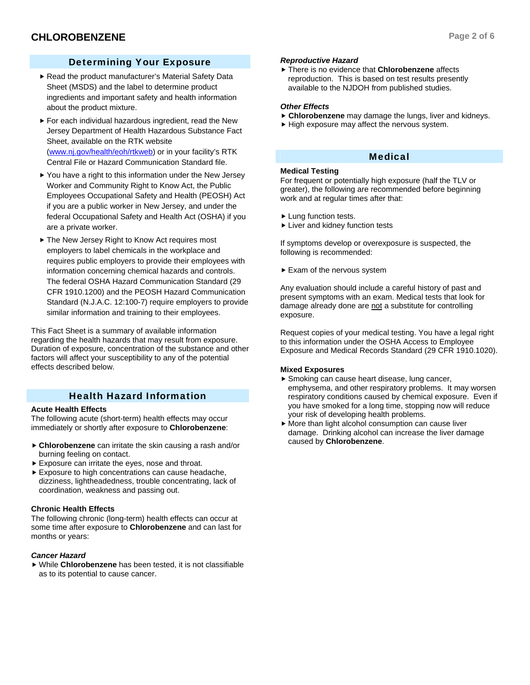## Determining Your Exposure

- Read the product manufacturer's Material Safety Data Sheet (MSDS) and the label to determine product ingredients and important safety and health information about the product mixture.
- $\blacktriangleright$  For each individual hazardous ingredient, read the New Jersey Department of Health Hazardous Substance Fact Sheet, available on the RTK website (www.nj.gov/health/eoh/rtkweb) or in your facility's RTK Central File or Hazard Communication Standard file.
- $\blacktriangleright$  You have a right to this information under the New Jersey Worker and Community Right to Know Act, the Public Employees Occupational Safety and Health (PEOSH) Act if you are a public worker in New Jersey, and under the federal Occupational Safety and Health Act (OSHA) if you are a private worker.
- ▶ The New Jersey Right to Know Act requires most employers to label chemicals in the workplace and requires public employers to provide their employees with information concerning chemical hazards and controls. The federal OSHA Hazard Communication Standard (29 CFR 1910.1200) and the PEOSH Hazard Communication Standard (N.J.A.C. 12:100-7) require employers to provide similar information and training to their employees.

This Fact Sheet is a summary of available information regarding the health hazards that may result from exposure. Duration of exposure, concentration of the substance and other factors will affect your susceptibility to any of the potential effects described below.

# Health Hazard Information

#### **Acute Health Effects**

The following acute (short-term) health effects may occur immediately or shortly after exposure to **Chlorobenzene**:

- f **Chlorobenzene** can irritate the skin causing a rash and/or burning feeling on contact.
- $\blacktriangleright$  Exposure can irritate the eyes, nose and throat.
- $\blacktriangleright$  Exposure to high concentrations can cause headache, dizziness, lightheadedness, trouble concentrating, lack of coordination, weakness and passing out.

#### **Chronic Health Effects**

The following chronic (long-term) health effects can occur at some time after exposure to **Chlorobenzene** and can last for months or years:

### *Cancer Hazard*

▶ While Chlorobenzene has been tested, it is not classifiable as to its potential to cause cancer.

#### *Reproductive Hazard*

 $\triangleright$  There is no evidence that **Chlorobenzene** affects reproduction. This is based on test results presently available to the NJDOH from published studies.

#### *Other Effects*

- **Example 2 Chlorobenzene** may damage the lungs, liver and kidneys.
- $\blacktriangleright$  High exposure may affect the nervous system.

### Medical

#### **Medical Testing**

For frequent or potentially high exposure (half the TLV or greater), the following are recommended before beginning work and at regular times after that:

- $\blacktriangleright$  Lung function tests.
- $\blacktriangleright$  Liver and kidney function tests

If symptoms develop or overexposure is suspected, the following is recommended:

 $\blacktriangleright$  Exam of the nervous system

Any evaluation should include a careful history of past and present symptoms with an exam. Medical tests that look for damage already done are not a substitute for controlling exposure.

Request copies of your medical testing. You have a legal right to this information under the OSHA Access to Employee Exposure and Medical Records Standard (29 CFR 1910.1020).

#### **Mixed Exposures**

- $\blacktriangleright$  Smoking can cause heart disease, lung cancer, emphysema, and other respiratory problems. It may worsen respiratory conditions caused by chemical exposure. Even if you have smoked for a long time, stopping now will reduce your risk of developing health problems.
- $\blacktriangleright$  More than light alcohol consumption can cause liver damage. Drinking alcohol can increase the liver damage caused by **Chlorobenzene**.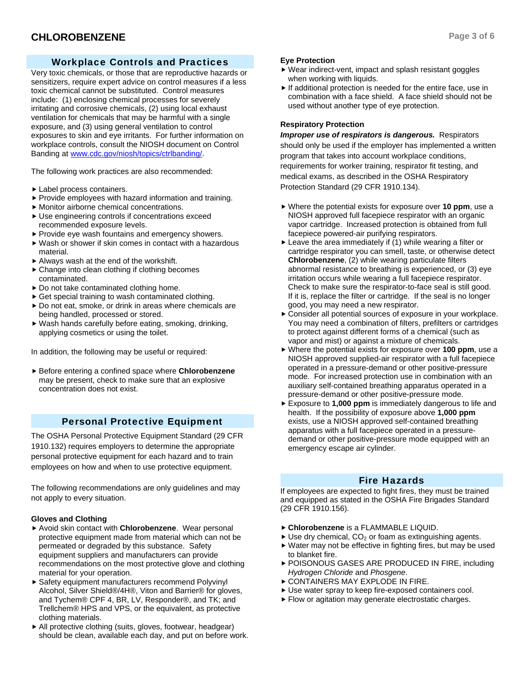## Workplace Controls and Practices

Very toxic chemicals, or those that are reproductive hazards or sensitizers, require expert advice on control measures if a less toxic chemical cannot be substituted. Control measures include: (1) enclosing chemical processes for severely irritating and corrosive chemicals, (2) using local exhaust ventilation for chemicals that may be harmful with a single exposure, and (3) using general ventilation to control exposures to skin and eye irritants. For further information on workplace controls, consult the NIOSH document on Control Banding at www.cdc.gov/niosh/topics/ctrlbanding/.

The following work practices are also recommended:

- $\blacktriangleright$  Label process containers.
- $\blacktriangleright$  Provide employees with hazard information and training.
- $\blacktriangleright$  Monitor airborne chemical concentrations.
- $\blacktriangleright$  Use engineering controls if concentrations exceed recommended exposure levels.
- $\blacktriangleright$  Provide eye wash fountains and emergency showers.
- $\blacktriangleright$  Wash or shower if skin comes in contact with a hazardous material.
- $\blacktriangleright$  Always wash at the end of the workshift.
- $\triangleright$  Change into clean clothing if clothing becomes contaminated.
- $\triangleright$  Do not take contaminated clothing home.
- $\triangleright$  Get special training to wash contaminated clothing.
- $\triangleright$  Do not eat, smoke, or drink in areas where chemicals are being handled, processed or stored.
- $\blacktriangleright$  Wash hands carefully before eating, smoking, drinking, applying cosmetics or using the toilet.

In addition, the following may be useful or required:

 $\blacktriangleright$  Before entering a confined space where **Chlorobenzene** may be present, check to make sure that an explosive concentration does not exist.

### Personal Protective Equipment

The OSHA Personal Protective Equipment Standard (29 CFR 1910.132) requires employers to determine the appropriate personal protective equipment for each hazard and to train employees on how and when to use protective equipment.

The following recommendations are only guidelines and may not apply to every situation.

#### **Gloves and Clothing**

- ▶ Avoid skin contact with **Chlorobenzene**. Wear personal protective equipment made from material which can not be permeated or degraded by this substance. Safety equipment suppliers and manufacturers can provide recommendations on the most protective glove and clothing material for your operation.
- ▶ Safety equipment manufacturers recommend Polyvinyl Alcohol, Silver Shield®/4H®, Viton and Barrier® for gloves, and Tychem® CPF 4, BR, LV, Responder®, and TK; and Trellchem® HPS and VPS, or the equivalent, as protective clothing materials.
- $\blacktriangleright$  All protective clothing (suits, gloves, footwear, headgear) should be clean, available each day, and put on before work.

#### **Eye Protection**

- $\blacktriangleright$  Wear indirect-vent, impact and splash resistant goggles when working with liquids.
- $\blacktriangleright$  If additional protection is needed for the entire face, use in combination with a face shield. A face shield should not be used without another type of eye protection.

#### **Respiratory Protection**

*Improper use of respirators is dangerous.* Respirators should only be used if the employer has implemented a written program that takes into account workplace conditions, requirements for worker training, respirator fit testing, and medical exams, as described in the OSHA Respiratory Protection Standard (29 CFR 1910.134).

- ▶ Where the potential exists for exposure over 10 ppm, use a NIOSH approved full facepiece respirator with an organic vapor cartridge. Increased protection is obtained from full facepiece powered-air purifying respirators.
- $\blacktriangleright$  Leave the area immediately if (1) while wearing a filter or cartridge respirator you can smell, taste, or otherwise detect **Chlorobenzene**, (2) while wearing particulate filters abnormal resistance to breathing is experienced, or (3) eye irritation occurs while wearing a full facepiece respirator. Check to make sure the respirator-to-face seal is still good. If it is, replace the filter or cartridge. If the seal is no longer good, you may need a new respirator.
- $\triangleright$  Consider all potential sources of exposure in your workplace. You may need a combination of filters, prefilters or cartridges to protect against different forms of a chemical (such as vapor and mist) or against a mixture of chemicals.
- ▶ Where the potential exists for exposure over **100 ppm**, use a NIOSH approved supplied-air respirator with a full facepiece operated in a pressure-demand or other positive-pressure mode. For increased protection use in combination with an auxiliary self-contained breathing apparatus operated in a pressure-demand or other positive-pressure mode.
- ▶ Exposure to **1,000 ppm** is immediately dangerous to life and health. If the possibility of exposure above **1,000 ppm**  exists, use a NIOSH approved self-contained breathing apparatus with a full facepiece operated in a pressuredemand or other positive-pressure mode equipped with an emergency escape air cylinder.

### Fire Hazards

If employees are expected to fight fires, they must be trained and equipped as stated in the OSHA Fire Brigades Standard (29 CFR 1910.156).

- f **Chlorobenzene** is a FLAMMABLE LIQUID.
- $\blacktriangleright$  Use dry chemical, CO<sub>2</sub> or foam as extinguishing agents.
- $\blacktriangleright$  Water may not be effective in fighting fires, but may be used to blanket fire.
- ▶ POISONOUS GASES ARE PRODUCED IN FIRE, including *Hydrogen Chloride* and *Phosgene*.
- **CONTAINERS MAY EXPLODE IN FIRE.**
- $\blacktriangleright$  Use water spray to keep fire-exposed containers cool.
- $\blacktriangleright$  Flow or agitation may generate electrostatic charges.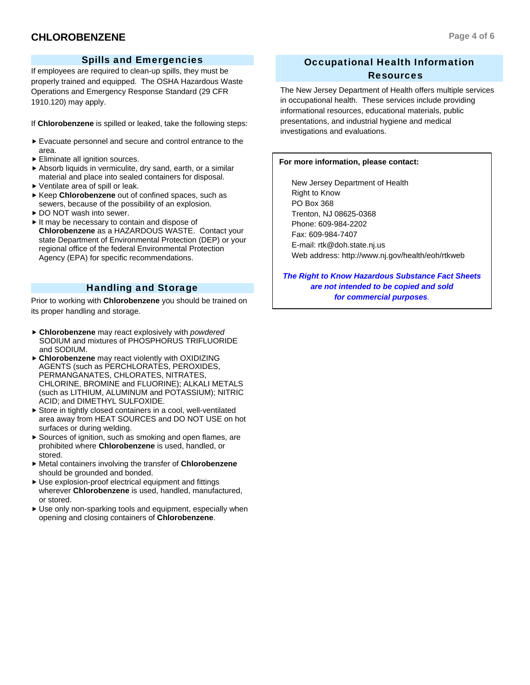### Spills and Emergencies

If employees are required to clean-up spills, they must be properly trained and equipped. The OSHA Hazardous Waste Operations and Emergency Response Standard (29 CFR 1910.120) may apply.

If **Chlorobenzene** is spilled or leaked, take the following steps:

- $\blacktriangleright$  Evacuate personnel and secure and control entrance to the area.
- $\blacktriangleright$  Eliminate all ignition sources.
- $\blacktriangleright$  Absorb liquids in vermiculite, dry sand, earth, or a similar material and place into sealed containers for disposal.
- $\blacktriangleright$  Ventilate area of spill or leak.
- ▶ Keep **Chlorobenzene** out of confined spaces, such as sewers, because of the possibility of an explosion.
- ▶ DO NOT wash into sewer.
- $\blacktriangleright$  It may be necessary to contain and dispose of **Chlorobenzene** as a HAZARDOUS WASTE. Contact your state Department of Environmental Protection (DEP) or your regional office of the federal Environmental Protection Agency (EPA) for specific recommendations.

## Handling and Storage

Prior to working with **Chlorobenzene** you should be trained on its proper handling and storage.

- **F** Chlorobenzene may react explosively with *powdered* SODIUM and mixtures of PHOSPHORUS TRIFLUORIDE and SODIUM.
- **Example 12** Chlorobenzene may react violently with OXIDIZING AGENTS (such as PERCHLORATES, PEROXIDES, PERMANGANATES, CHLORATES, NITRATES, CHLORINE, BROMINE and FLUORINE); ALKALI METALS (such as LITHIUM, ALUMINUM and POTASSIUM); NITRIC ACID; and DIMETHYL SULFOXIDE.
- $\triangleright$  Store in tightly closed containers in a cool, well-ventilated area away from HEAT SOURCES and DO NOT USE on hot surfaces or during welding.
- $\blacktriangleright$  Sources of ignition, such as smoking and open flames, are prohibited where **Chlorobenzene** is used, handled, or stored.
- $\blacktriangleright$  Metal containers involving the transfer of **Chlorobenzene** should be grounded and bonded.
- $\blacktriangleright$  Use explosion-proof electrical equipment and fittings wherever **Chlorobenzene** is used, handled, manufactured, or stored.
- $\blacktriangleright$  Use only non-sparking tools and equipment, especially when opening and closing containers of **Chlorobenzene**.

# Occupational Health Information Resources

The New Jersey Department of Health offers multiple services in occupational health. These services include providing informational resources, educational materials, public presentations, and industrial hygiene and medical investigations and evaluations.

### **For more information, please contact:**

 New Jersey Department of Health Right to Know PO Box 368 Trenton, NJ 08625-0368 Phone: 609-984-2202 Fax: 609-984-7407 E-mail: rtk@doh.state.nj.us Web address: http://www.nj.gov/health/eoh/rtkweb

*The Right to Know Hazardous Substance Fact Sheets are not intended to be copied and sold for commercial purposes.*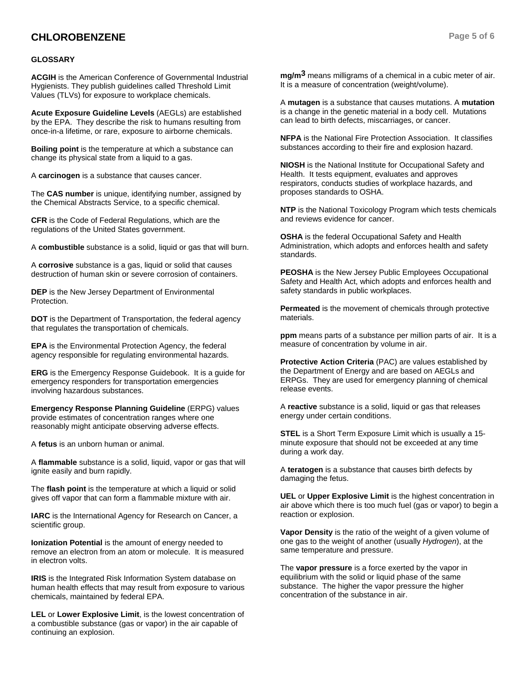# **CHLOROBENZENE** Page 5 of 6

#### **GLOSSARY**

**ACGIH** is the American Conference of Governmental Industrial Hygienists. They publish guidelines called Threshold Limit Values (TLVs) for exposure to workplace chemicals.

**Acute Exposure Guideline Levels** (AEGLs) are established by the EPA. They describe the risk to humans resulting from once-in-a lifetime, or rare, exposure to airborne chemicals.

**Boiling point** is the temperature at which a substance can change its physical state from a liquid to a gas.

A **carcinogen** is a substance that causes cancer.

The **CAS number** is unique, identifying number, assigned by the Chemical Abstracts Service, to a specific chemical.

**CFR** is the Code of Federal Regulations, which are the regulations of the United States government.

A **combustible** substance is a solid, liquid or gas that will burn.

A **corrosive** substance is a gas, liquid or solid that causes destruction of human skin or severe corrosion of containers.

**DEP** is the New Jersey Department of Environmental Protection.

**DOT** is the Department of Transportation, the federal agency that regulates the transportation of chemicals.

**EPA** is the Environmental Protection Agency, the federal agency responsible for regulating environmental hazards.

**ERG** is the Emergency Response Guidebook. It is a guide for emergency responders for transportation emergencies involving hazardous substances.

**Emergency Response Planning Guideline** (ERPG) values provide estimates of concentration ranges where one reasonably might anticipate observing adverse effects.

A **fetus** is an unborn human or animal.

A **flammable** substance is a solid, liquid, vapor or gas that will ignite easily and burn rapidly.

The **flash point** is the temperature at which a liquid or solid gives off vapor that can form a flammable mixture with air.

**IARC** is the International Agency for Research on Cancer, a scientific group.

**Ionization Potential** is the amount of energy needed to remove an electron from an atom or molecule. It is measured in electron volts.

**IRIS** is the Integrated Risk Information System database on human health effects that may result from exposure to various chemicals, maintained by federal EPA.

**LEL** or **Lower Explosive Limit**, is the lowest concentration of a combustible substance (gas or vapor) in the air capable of continuing an explosion.

**mg/m3** means milligrams of a chemical in a cubic meter of air. It is a measure of concentration (weight/volume).

A **mutagen** is a substance that causes mutations. A **mutation** is a change in the genetic material in a body cell. Mutations can lead to birth defects, miscarriages, or cancer.

**NFPA** is the National Fire Protection Association. It classifies substances according to their fire and explosion hazard.

**NIOSH** is the National Institute for Occupational Safety and Health. It tests equipment, evaluates and approves respirators, conducts studies of workplace hazards, and proposes standards to OSHA.

**NTP** is the National Toxicology Program which tests chemicals and reviews evidence for cancer.

**OSHA** is the federal Occupational Safety and Health Administration, which adopts and enforces health and safety standards.

**PEOSHA** is the New Jersey Public Employees Occupational Safety and Health Act, which adopts and enforces health and safety standards in public workplaces.

**Permeated** is the movement of chemicals through protective materials.

**ppm** means parts of a substance per million parts of air. It is a measure of concentration by volume in air.

**Protective Action Criteria** (PAC) are values established by the Department of Energy and are based on AEGLs and ERPGs. They are used for emergency planning of chemical release events.

A **reactive** substance is a solid, liquid or gas that releases energy under certain conditions.

**STEL** is a Short Term Exposure Limit which is usually a 15 minute exposure that should not be exceeded at any time during a work day.

A **teratogen** is a substance that causes birth defects by damaging the fetus.

**UEL** or **Upper Explosive Limit** is the highest concentration in air above which there is too much fuel (gas or vapor) to begin a reaction or explosion.

**Vapor Density** is the ratio of the weight of a given volume of one gas to the weight of another (usually *Hydrogen*), at the same temperature and pressure.

The **vapor pressure** is a force exerted by the vapor in equilibrium with the solid or liquid phase of the same substance. The higher the vapor pressure the higher concentration of the substance in air.